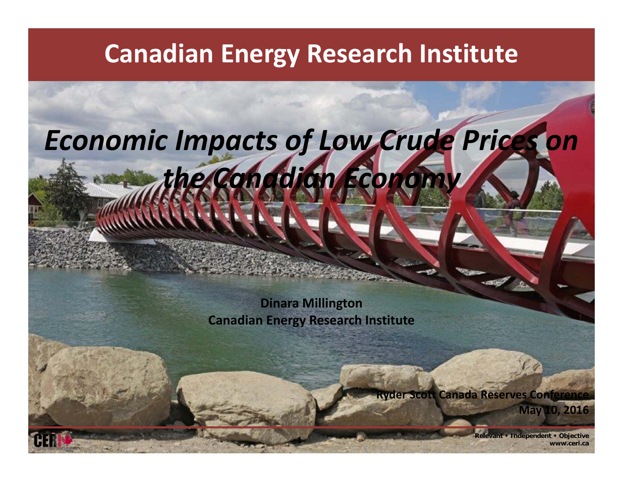#### **Canadian Energy Research Institute**

# **Relevant • Independent • Objective <sup>1</sup> www.ceri.ca***Economic Impacts of Low Crude Prices on the Canadian Economy* **Dinara Millington Canadian Energy Research Institute Ryder Scott Canada Reserves Conference May 10, 2016**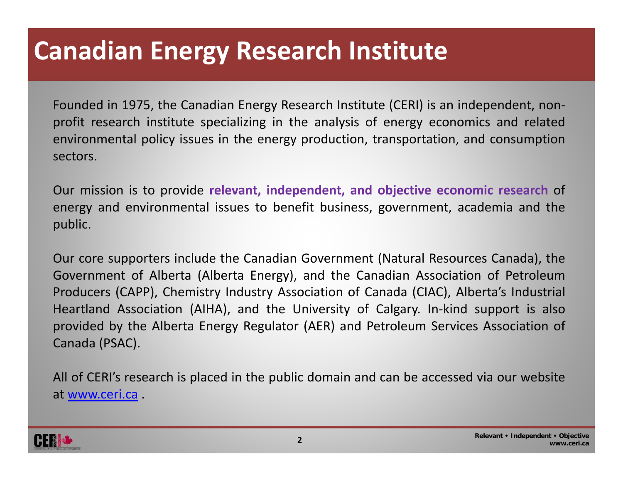### **Canadian Energy Research Institute**

Founded in 1975, the Canadian Energy Research Institute (CERI) is an independent, non‐ profit research institute specializing in the analysis of energy economics and related environmental policy issues in the energy production, transportation, and consumption sectors.

Our mission is to provide **relevant, independent, and objective economic research** of energy and environmental issues to benefit business, government, academia and the public.

Our core supporters include the Canadian Government (Natural Resources Canada), the Government of Alberta (Alberta Energy), and the Canadian Association of Petroleum Producers (CAPP), Chemistry Industry Association of Canada (CIAC), Alberta's Industrial Heartland Association (AIHA), and the University of Calgary. In‐kind support is also provided by the Alberta Energy Regulator (AER) and Petroleum Services Association of Canada (PSAC).

All of CERI's research is placed in the public domain and can be accessed via our website at www.ceri.ca .

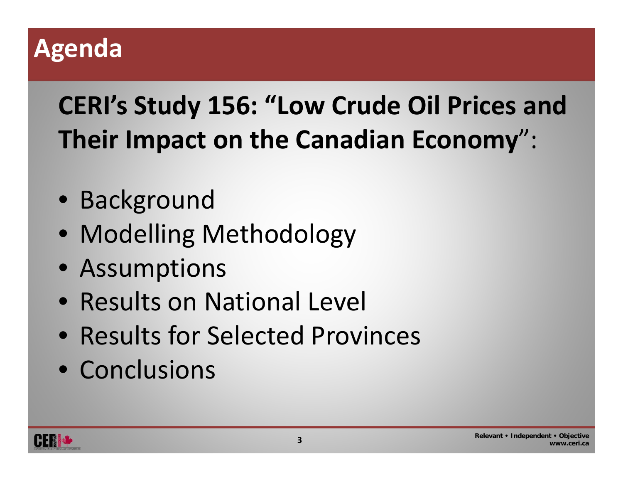#### **Agenda**

# **CERI's Study 156: "Low Crude Oil Prices and Their Impact on the Canadian Economy**":

- Background
- Modelling Methodology
- Assumptions
- Results on National Level
- Results for Selected Provinces
- Conclusions

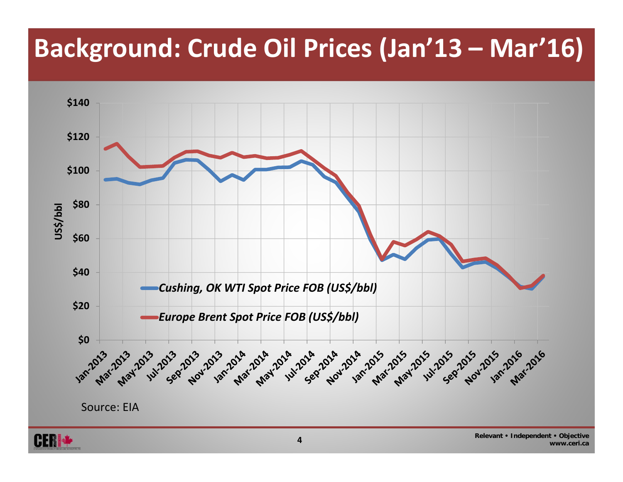## **Background: Crude Oil Prices (Jan'13 – Mar'16)**



**www.ceri.ca**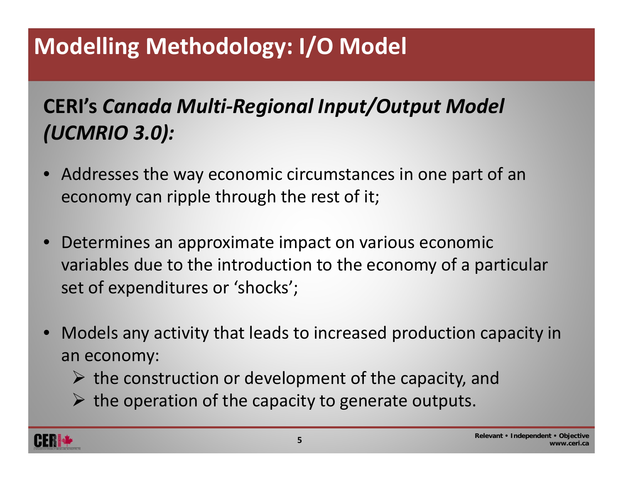### **Modelling Methodology: I/O Model**

#### **CERI's** *Canada Multi‐Regional Input/Output Model (UCMRIO 3.0):*

- • Addresses the way economic circumstances in one part of an economy can ripple through the rest of it;
- $\bullet$  Determines an approximate impact on various economic variables due to the introduction to the economy of <sup>a</sup> particular set of expenditures or 'shocks';
- $\bullet$  Models any activity that leads to increased production capacity in an economy:
	- $\triangleright$  the construction or development of the capacity, and
	- $\triangleright$  the operation of the capacity to generate outputs.

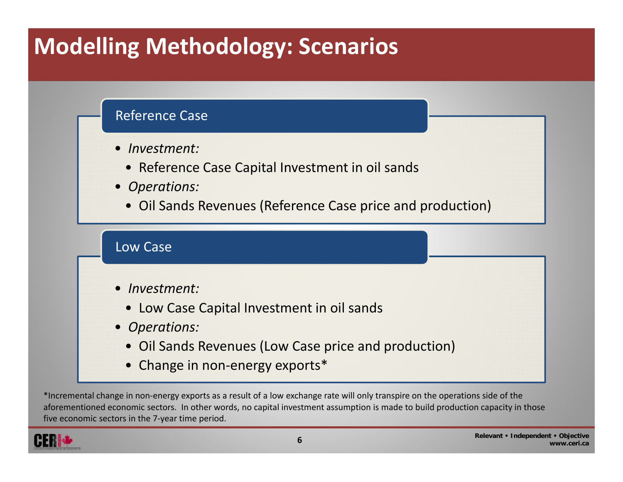#### **Modelling Methodology: Scenarios**

#### Reference Case

- *Investment:*
	- Reference Case Capital Investment in oil sands
- *Operations:*
	- Oil Sands Revenues (Reference Case price and production)

#### Low Case

- • *Investment:*
	- Low Case Capital Investment in oil sands
- *Operations:*
	- Oil Sands Revenues (Low Case price and production)
	- Change in non-energy exports\*

\*Incremental change in non‐energy exports as <sup>a</sup> result of <sup>a</sup> low exchange rate will only transpire on the operations side of the aforementioned economic sectors. In other words, no capital investment assumption is made to build production capacity in those five economic sectors in the 7‐year time period.

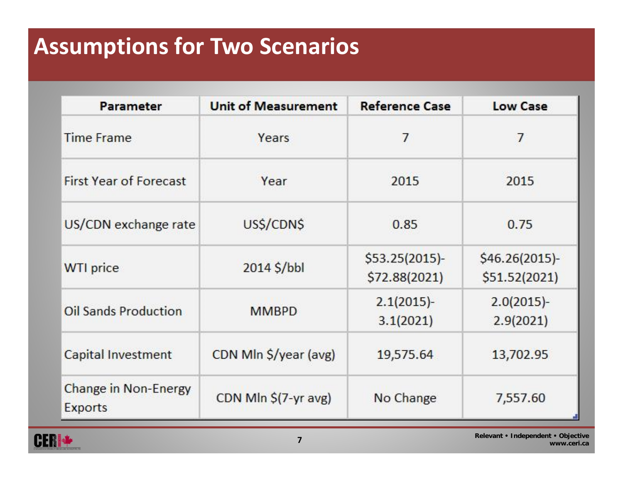#### **Assumptions for Two Scenarios**

| <b>Parameter</b>                       | <b>Unit of Measurement</b> | <b>Reference Case</b>             | <b>Low Case</b>                 |
|----------------------------------------|----------------------------|-----------------------------------|---------------------------------|
| <b>Time Frame</b>                      | Years                      | 7                                 | 7                               |
| <b>First Year of Forecast</b>          | Year                       | 2015                              | 2015                            |
| US/CDN exchange rate                   | US\$/CDN\$                 | 0.85                              | 0.75                            |
| <b>WTI</b> price                       | $2014$ \$/bbl              | $$53.25(2015)$ -<br>\$72.88(2021) | \$46.26(2015)-<br>\$51.52(2021) |
| <b>Oil Sands Production</b>            | <b>MMBPD</b>               | $2.1(2015)$ -<br>3.1(2021)        | $2.0(2015)$ -<br>2.9(2021)      |
| <b>Capital Investment</b>              | CDN Mln \$/year (avg)      | 19,575.64                         | 13,702.95                       |
| Change in Non-Energy<br><b>Exports</b> | CDN Mln \$(7-yr avg)       | No Change                         | 7,557.60                        |

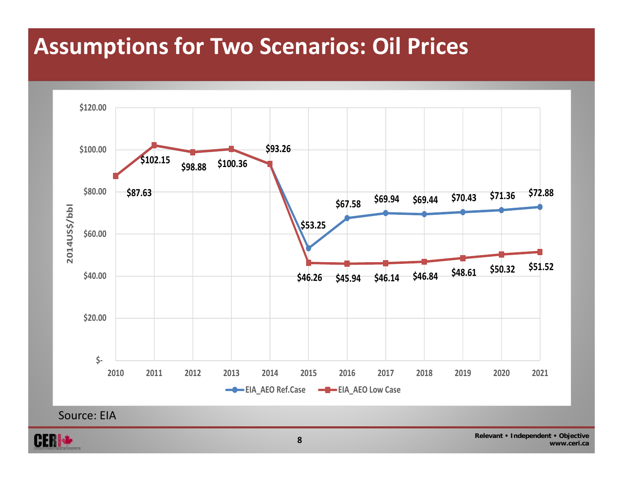#### **Assumptions for Two Scenarios: Oil Prices**



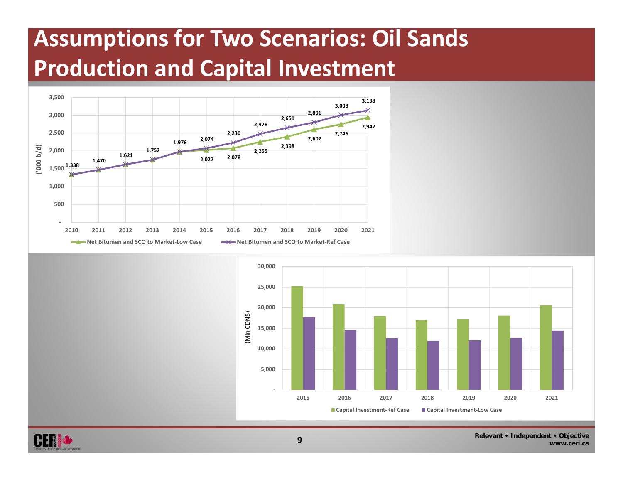#### **Assumptions for Two Scenarios: Oil Sands Production and Capital Investment**





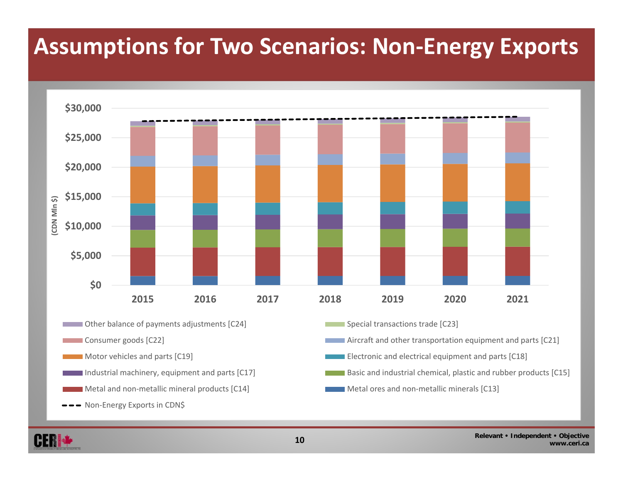#### **Assumptions for Two Scenarios: Non‐Energy Exports**



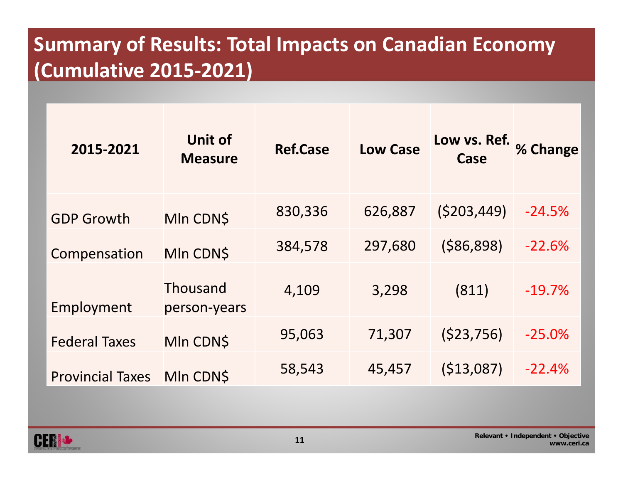#### **Summary of Results: Total Impacts on Canadian Economy (Cumulative 2015‐2021)**

| 2015-2021               | <b>Unit of</b><br><b>Measure</b> | <b>Ref.Case</b> | <b>Low Case</b> | Low vs. Ref.<br>Case | % Change |
|-------------------------|----------------------------------|-----------------|-----------------|----------------------|----------|
| <b>GDP Growth</b>       | MIn CDN\$                        | 830,336         | 626,887         | (5203, 449)          | $-24.5%$ |
| Compensation            | MIn CDN\$                        | 384,578         | 297,680         | ( \$86, 898)         | $-22.6%$ |
| Employment              | Thousand<br>person-years         | 4,109           | 3,298           | (811)                | $-19.7%$ |
| <b>Federal Taxes</b>    | MIn CDN\$                        | 95,063          | 71,307          | (523, 756)           | $-25.0%$ |
| <b>Provincial Taxes</b> | <b>MIn CDNS</b>                  | 58,543          | 45,457          | (513,087)            | $-22.4%$ |

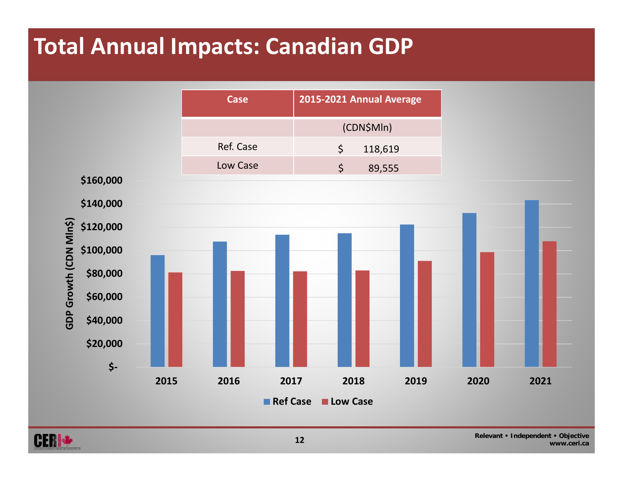#### **Total Annual Impacts: Canadian GDP**



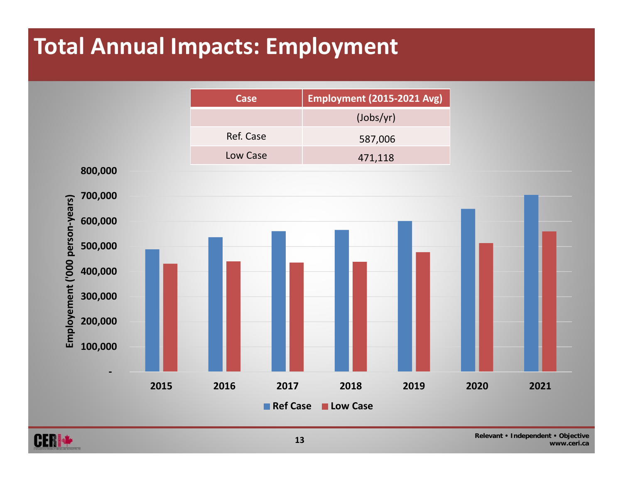#### **Total Annual Impacts: Employment**



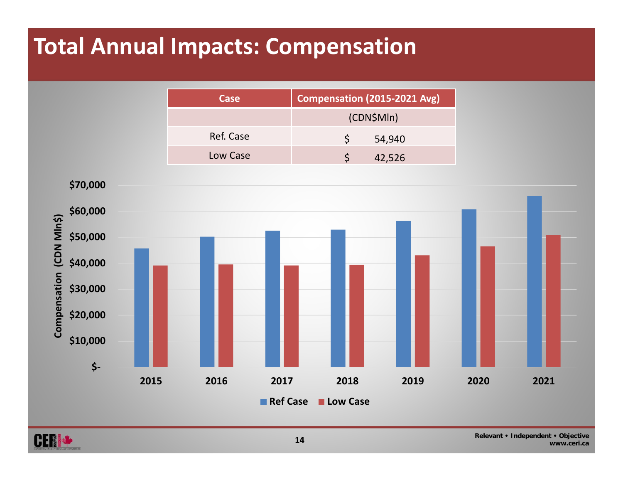#### **Total Annual Impacts: Compensation**





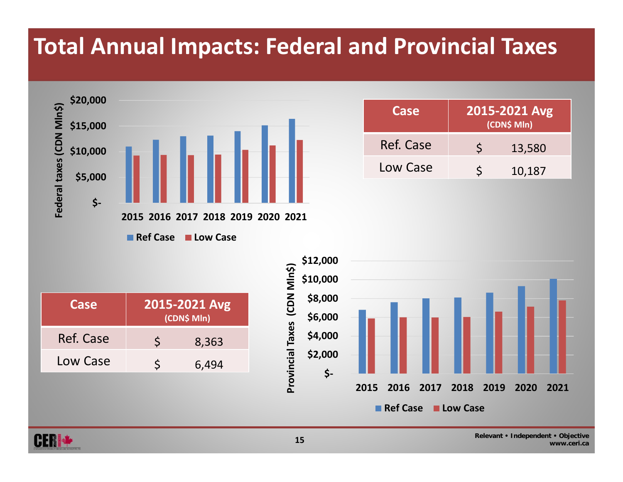#### **Total Annual Impacts: Federal and Provincial Taxes**



| Case      | 2015-2021 Avg<br>(CDN\$ Mln) |        |  |  |  |
|-----------|------------------------------|--------|--|--|--|
| Ref. Case |                              | 13,580 |  |  |  |
| Low Case  |                              | 10,187 |  |  |  |

**Ref Case Low Case**

| Case      | 2015-2021 Avg<br>(CDN\$ Mln) |       |  |  |  |  |
|-----------|------------------------------|-------|--|--|--|--|
| Ref. Case |                              | 8,363 |  |  |  |  |
| Low Case  |                              | 6,494 |  |  |  |  |



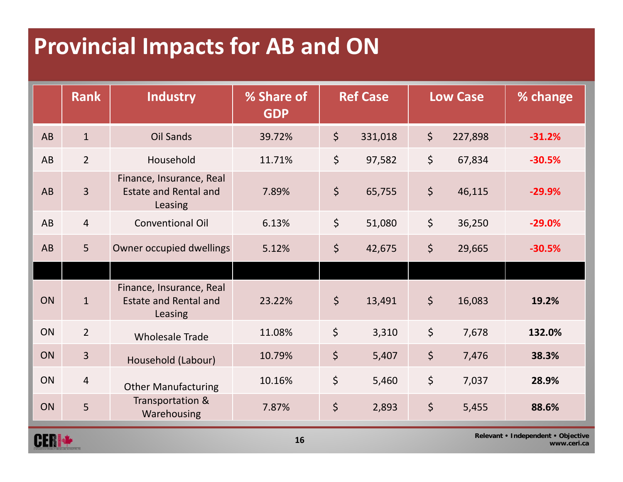#### **Provincial Impacts for AB and ON**

**CERS AND REAL** 

|                                                                  | <b>Rank</b>    | <b>Industry</b>                                                     | % Share of<br><b>GDP</b> | <b>Ref Case</b> |         | <b>Low Case</b> |         | % change |
|------------------------------------------------------------------|----------------|---------------------------------------------------------------------|--------------------------|-----------------|---------|-----------------|---------|----------|
| AB                                                               | $\mathbf{1}$   | Oil Sands                                                           | 39.72%                   | $\zeta$         | 331,018 | $\zeta$         | 227,898 | $-31.2%$ |
| AB                                                               | $\overline{2}$ | Household                                                           | 11.71%                   | $\zeta$         | 97,582  | \$              | 67,834  | $-30.5%$ |
| AB                                                               | $\overline{3}$ | Finance, Insurance, Real<br><b>Estate and Rental and</b><br>Leasing | 7.89%                    | \$              | 65,755  | $\varsigma$     | 46,115  | $-29.9%$ |
| AB                                                               | $\overline{4}$ | <b>Conventional Oil</b>                                             | 6.13%                    | $\zeta$         | 51,080  | $\zeta$         | 36,250  | $-29.0%$ |
| AB                                                               | 5 <sup>1</sup> | Owner occupied dwellings                                            | 5.12%                    | $\zeta$         | 42,675  | $\varsigma$     | 29,665  | $-30.5%$ |
|                                                                  |                |                                                                     |                          |                 |         |                 |         |          |
| ON                                                               | $\mathbf{1}$   | Finance, Insurance, Real<br><b>Estate and Rental and</b><br>Leasing | 23.22%                   | $\zeta$         | 13,491  | $\zeta$         | 16,083  | 19.2%    |
| ON                                                               | $\overline{2}$ | <b>Wholesale Trade</b>                                              | 11.08%                   | $\zeta$         | 3,310   | $\zeta$         | 7,678   | 132.0%   |
| ON                                                               | $\overline{3}$ | Household (Labour)                                                  | 10.79%                   | $\zeta$         | 5,407   | $\zeta$         | 7,476   | 38.3%    |
| ON                                                               | $\overline{4}$ | <b>Other Manufacturing</b>                                          | 10.16%                   | $\zeta$         | 5,460   | $\zeta$         | 7,037   | 28.9%    |
| ON                                                               | 5              | Transportation &<br>Warehousing                                     | 7.87%                    | $\zeta$         | 2,893   | $\zeta$         | 5,455   | 88.6%    |
| Relevant • Independent • Objective<br><b>P.F.R. Sont 4</b><br>16 |                |                                                                     |                          |                 |         |                 |         |          |

**www.ceri.ca**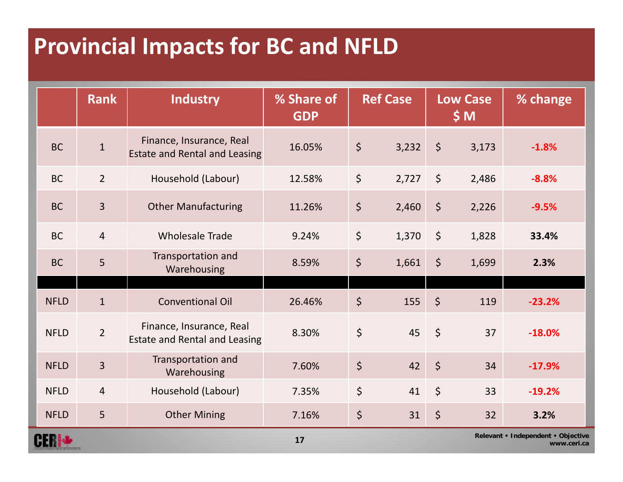#### **Provincial Impacts for BC and NFLD**

|                                          | <b>Rank</b>     | <b>Industry</b>                                                  | % Share of<br><b>GDP</b> |             | <b>Ref Case</b> |             | <b>Low Case</b><br>\$M\$ | % change |
|------------------------------------------|-----------------|------------------------------------------------------------------|--------------------------|-------------|-----------------|-------------|--------------------------|----------|
| <b>BC</b>                                | $\mathbf{1}$    | Finance, Insurance, Real<br><b>Estate and Rental and Leasing</b> | 16.05%                   | $\zeta$     | 3,232           | $\zeta$     | 3,173                    | $-1.8%$  |
| <b>BC</b>                                | $\overline{2}$  | Household (Labour)                                               | 12.58%                   | $\zeta$     | 2,727           | $\zeta$     | 2,486                    | $-8.8%$  |
| <b>BC</b>                                | $\overline{3}$  | <b>Other Manufacturing</b>                                       | 11.26%                   | $\zeta$     | 2,460           | $\zeta$     | 2,226                    | $-9.5%$  |
| <b>BC</b>                                | $\overline{4}$  | <b>Wholesale Trade</b>                                           | 9.24%                    | $\zeta$     | 1,370           | $\varsigma$ | 1,828                    | 33.4%    |
| <b>BC</b>                                | $5\overline{)}$ | Transportation and<br>Warehousing                                | 8.59%                    | $\zeta$     | 1,661           | $\zeta$     | 1,699                    | 2.3%     |
| <b>NFLD</b>                              | $\mathbf{1}$    | <b>Conventional Oil</b>                                          | 26.46%                   | $\zeta$     | 155             | $\zeta$     | 119                      | $-23.2%$ |
| <b>NFLD</b>                              | $\overline{2}$  | Finance, Insurance, Real<br>Estate and Rental and Leasing        | 8.30%                    | \$          | 45              | $\zeta$     | 37                       | $-18.0%$ |
| <b>NFLD</b>                              | $\overline{3}$  | Transportation and<br>Warehousing                                | 7.60%                    | \$          | 42              | $\zeta$     | 34                       | $-17.9%$ |
| <b>NFLD</b>                              | $\overline{4}$  | Household (Labour)                                               | 7.35%                    | $\varsigma$ | 41              | $\zeta$     | 33                       | $-19.2%$ |
| <b>NFLD</b>                              | 5               | <b>Other Mining</b>                                              | 7.16%                    | \$          | 31              | \$          | 32                       | 3.2%     |
| Relevant • Independent • Objective<br>17 |                 |                                                                  |                          |             | www.ceri.ca     |             |                          |          |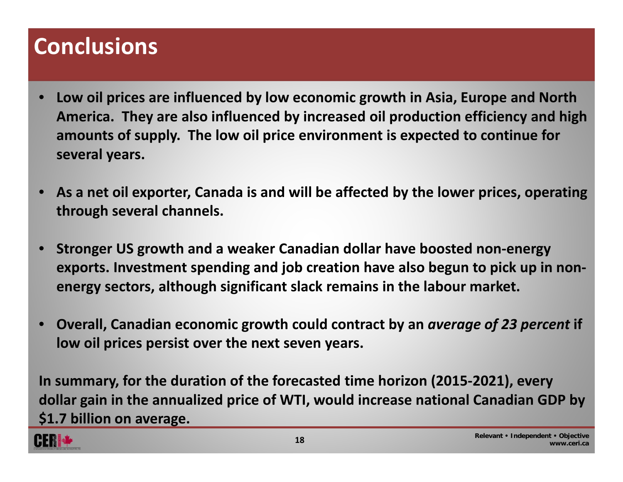#### **Conclusions**

- • **Low oil prices are influenced by low economic growth in Asia, Europe and North America. They are also influenced by increased oil production efficiency and high amounts of supply. The low oil price environment is expected to continue for several years.**
- • **As a net oil exporter, Canada is and will be affected by the lower prices, operating through several channels.**
- • **Stronger US growth and <sup>a</sup> weaker Canadian dollar have boosted non‐energy exports. Investment spending and job creation have also begun to pick up in non‐ energy sectors, although significant slack remains in the labour market.**
- • **Overall, Canadian economic growth could contract by an** *average of 23 percent* **if low oil prices persist over the next seven years.**

**In summary, for the duration of the forecasted time horizon (2015‐2021), every dollar gain in the annualized price of WTI, would increase national Canadian GDP by \$1.7 billion on average.**